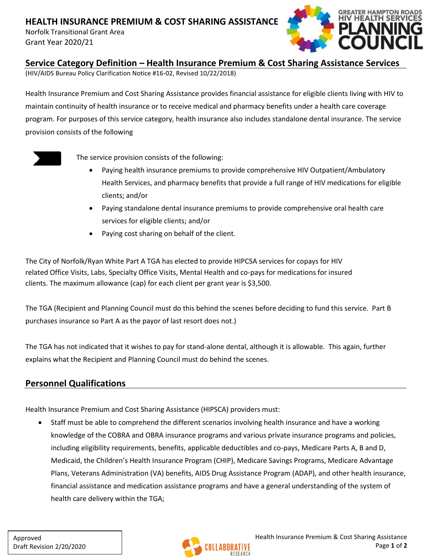# **HEALTH INSURANCE PREMIUM & COST SHARING ASSISTANCE**

Norfolk Transitional Grant Area Grant Year 2020/21



#### **Service Category Definition – Health Insurance Premium & Cost Sharing Assistance Services**

(HIV/AIDS Bureau Policy Clarification Notice #16-02, Revised 10/22/2018)

Health Insurance Premium and Cost Sharing Assistance provides financial assistance for eligible clients living with HIV to maintain continuity of health insurance or to receive medical and pharmacy benefits under a health care coverage program. For purposes of this service category, health insurance also includes standalone dental insurance. The service provision consists of the following



The service provision consists of the following:

- Paying health insurance premiums to provide comprehensive HIV Outpatient/Ambulatory Health Services, and pharmacy benefits that provide a full range of HIV medications for eligible clients; and/or
- Paying standalone dental insurance premiums to provide comprehensive oral health care services for eligible clients; and/or
- Paying cost sharing on behalf of the client.

The City of Norfolk/Ryan White Part A TGA has elected to provide HIPCSA services for copays for HIV related Office Visits, Labs, Specialty Office Visits, Mental Health and co-pays for medications for insured clients. The maximum allowance (cap) for each client per grant year is \$3,500.

The TGA (Recipient and Planning Council must do this behind the scenes before deciding to fund this service. Part B purchases insurance so Part A as the payor of last resort does not.)

The TGA has not indicated that it wishes to pay for stand-alone dental, although it is allowable. This again, further explains what the Recipient and Planning Council must do behind the scenes.

## **Personnel Qualifications**

Health Insurance Premium and Cost Sharing Assistance (HIPSCA) providers must:

• Staff must be able to comprehend the different scenarios involving health insurance and have a working knowledge of the COBRA and OBRA insurance programs and various private insurance programs and policies, including eligibility requirements, benefits, applicable deductibles and co-pays, Medicare Parts A, B and D, Medicaid, the Children's Health Insurance Program (CHIP), Medicare Savings Programs, Medicare Advantage Plans, Veterans Administration (VA) benefits, AIDS Drug Assistance Program (ADAP), and other health insurance, financial assistance and medication assistance programs and have a general understanding of the system of health care delivery within the TGA;